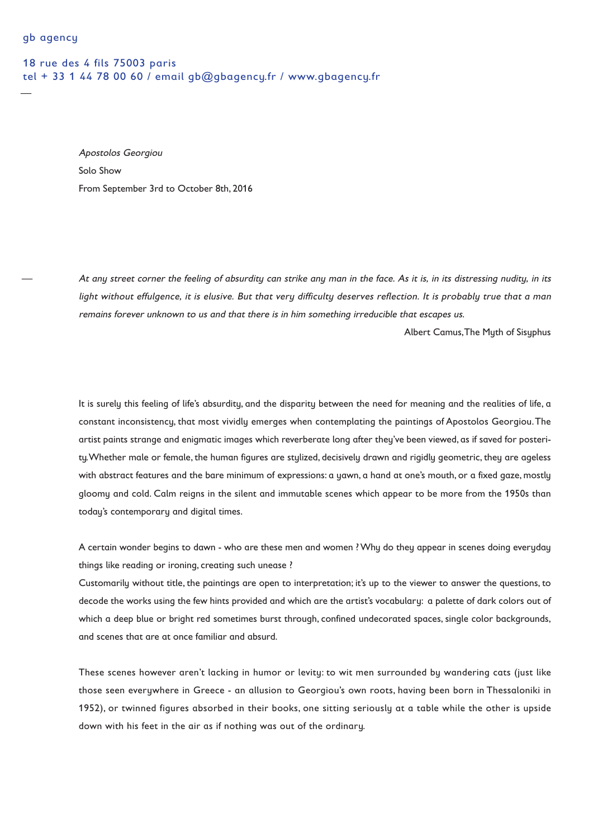## gb agency

—

—

## 18 rue des 4 fils 75003 paris tel + 33 1 44 78 00 60 / email gb@gbagency.fr / www.gbagency.fr

Apostolos Georgiou Solo Show From September 3rd to October 8th, 2016

At any street corner the feeling of absurdity can strike any man in the face. As it is, in its distressing nudity, in its light without effulgence, it is elusive. But that very difficulty deserves reflection. It is probably true that <sup>a</sup> man remains forever unknown to us and that there is in him something irreducible that escapes us.

Albert Camus,The Myth of Sisyphus

It is surely this feeling of life's absurdity, and the disparity between the need for meaning and the realities of life, a constant inconsistency, that most vividly emerges when contemplating the paintings of Apostolos Georgiou.The artist paints strange and enigmatic images which reverberate long after they've been viewed, as if saved for posterity.Whether male or female, the human figures are stylized, decisively drawn and rigidly geometric, they are ageless with abstract features and the bare minimum of expressions: a yawn, a hand at one's mouth, or a fixed gaze, mostly gloomy and cold. Calm reigns in the silent and immutable scenes which appear to be more from the 1950s than today's contemporary and digital times.

A certain wonder begins to dawn - who are these men and women ?Why do they appear in scenes doing everyday things like reading or ironing, creating such unease ?

Customarily without title, the paintings are open to interpretation; it's up to the viewer to answer the questions, to decode the works using the few hints provided and which are the artist's vocabulary: a palette of dark colors out of which a deep blue or bright red sometimes burst through, confined undecorated spaces, single color backgrounds, and scenes that are at once familiar and absurd.

These scenes however aren't lacking in humor or levity: to wit men surrounded by wandering cats (just like those seen everywhere in Greece - an allusion to Georgiou's own roots, having been born in Thessaloniki in 1952), or twinned figures absorbed in their books, one sitting seriously at a table while the other is upside down with his feet in the air as if nothing was out of the ordinary.